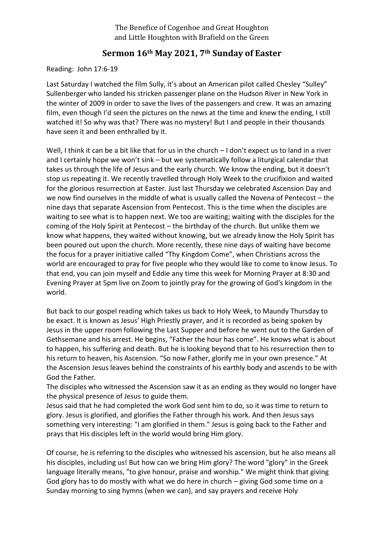The Benefice of Cogenhoe and Great Houghton and Little Houghton with Brafield on the Green

## **Sermon 16th May 2021, 7th Sunday of Easter**

Reading: John 17:6-19

Last Saturday I watched the film Sully, it's about an American pilot called Chesley "Sulley" Sullenberger who landed his stricken passenger plane on the Hudson River in New York in the winter of 2009 in order to save the lives of the passengers and crew. It was an amazing film, even though I'd seen the pictures on the news at the time and knew the ending, I still watched it! So why was that? There was no mystery! But I and people in their thousands have seen it and been enthralled by it.

Well, I think it can be a bit like that for us in the church – I don't expect us to land in a river and I certainly hope we won't sink – but we systematically follow a liturgical calendar that takes us through the life of Jesus and the early church. We know the ending, but it doesn't stop us repeating it. We recently travelled through Holy Week to the crucifixion and waited for the glorious resurrection at Easter. Just last Thursday we celebrated Ascension Day and we now find ourselves in the middle of what is usually called the Novena of Pentecost – the nine days that separate Ascension from Pentecost. This is the time when the disciples are waiting to see what is to happen next. We too are waiting; waiting with the disciples for the coming of the Holy Spirit at Pentecost – the birthday of the church. But unlike them we know what happens, they waited without knowing, but we already know the Holy Spirit has been poured out upon the church. More recently, these nine days of waiting have become the focus for a prayer initiative called "Thy Kingdom Come", when Christians across the world are encouraged to pray for five people who they would like to come to know Jesus. To that end, you can join myself and Eddie any time this week for Morning Prayer at 8:30 and Evening Prayer at 5pm live on Zoom to jointly pray for the growing of God's kingdom in the world.

But back to our gospel reading which takes us back to Holy Week, to Maundy Thursday to be exact. It is known as Jesus' High Priestly prayer, and it is recorded as being spoken by Jesus in the upper room following the Last Supper and before he went out to the Garden of Gethsemane and his arrest. He begins, "Father the hour has come". He knows what is about to happen, his suffering and death. But he is looking beyond that to his resurrection then to his return to heaven, his Ascension. "So now Father, glorify me in your own presence." At the Ascension Jesus leaves behind the constraints of his earthly body and ascends to be with God the Father.

The disciples who witnessed the Ascension saw it as an ending as they would no longer have the physical presence of Jesus to guide them.

Jesus said that he had completed the work God sent him to do, so it was time to return to glory. Jesus is glorified, and glorifies the Father through his work. And then Jesus says something very interesting: "I am glorified in them." Jesus is going back to the Father and prays that His disciples left in the world would bring Him glory.

Of course, he is referring to the disciples who witnessed his ascension, but he also means all his disciples, including us! But how can we bring Him glory? The word "glory" in the Greek language literally means, "to give honour, praise and worship." We might think that giving God glory has to do mostly with what we do here in church – giving God some time on a Sunday morning to sing hymns (when we can), and say prayers and receive Holy